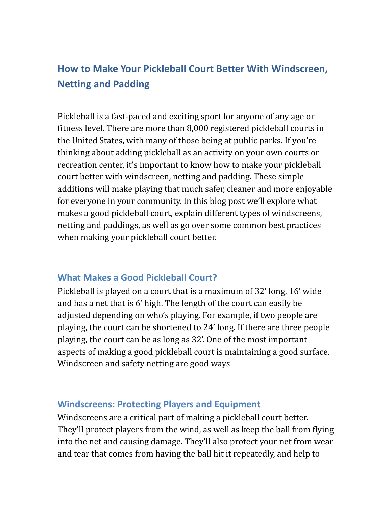# **How to Make Your Pickleball Court Better With Windscreen, Netting and Padding**

Pickleball is a fast-paced and exciting sport for anyone of any age or fitness level. There are more than 8,000 registered pickleball courts in the United States, with many of those being at public parks. If you're thinking about adding pickleball as an activity on your own courts or recreation center, it's important to know how to make your pickleball court better with windscreen, netting and padding. These simple additions will make playing that much safer, cleaner and more enjoyable for everyone in your community. In this blog post we'll explore what makes a good pickleball court, explain different types of windscreens, netting and paddings, as well as go over some common best practices when making your pickleball court better.

#### **What Makes a Good Pickleball Court?**

Pickleball is played on a court that is a maximum of 32' long, 16' wide and has a net that is 6' high. The length of the court can easily be adjusted depending on who's playing. For example, if two people are playing, the court can be shortened to 24' long. If there are three people playing, the court can be as long as 32'. One of the most important aspects of making a good pickleball court is maintaining a good surface. Windscreen and safety netting are good ways

#### **Windscreens: Protecting Players and Equipment**

Windscreens are a critical part of making a pickleball court better. They'll protect players from the wind, as well as keep the ball from flying into the net and causing damage. They'll also protect your net from wear and tear that comes from having the ball hit it repeatedly, and help to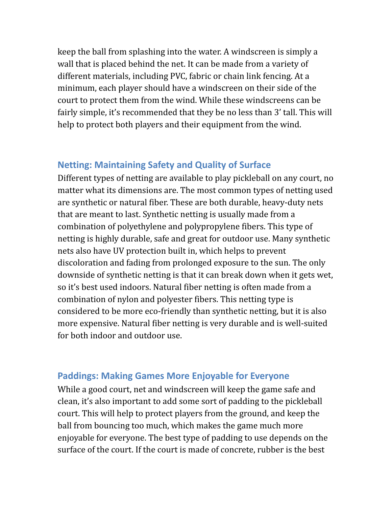keep the ball from splashing into the water. A windscreen is simply a wall that is placed behind the net. It can be made from a variety of different materials, including PVC, fabric or chain link fencing. At a minimum, each player should have a windscreen on their side of the court to protect them from the wind. While these windscreens can be fairly simple, it's recommended that they be no less than 3' tall. This will help to protect both players and their equipment from the wind.

#### **Netting: Maintaining Safety and Quality of Surface**

Different types of netting are available to play pickleball on any court, no matter what its dimensions are. The most common types of netting used are synthetic or natural fiber. These are both durable, heavy-duty nets that are meant to last. Synthetic netting is usually made from a combination of polyethylene and polypropylene fibers. This type of netting is highly durable, safe and great for outdoor use. Many synthetic nets also have UV protection built in, which helps to prevent discoloration and fading from prolonged exposure to the sun. The only downside of synthetic netting is that it can break down when it gets wet, so it's best used indoors. Natural fiber netting is often made from a combination of nylon and polyester fibers. This netting type is considered to be more eco-friendly than synthetic netting, but it is also more expensive. Natural fiber netting is very durable and is well-suited for both indoor and outdoor use.

#### **Paddings: Making Games More Enjoyable for Everyone**

While a good court, net and windscreen will keep the game safe and clean, it's also important to add some sort of padding to the pickleball court. This will help to protect players from the ground, and keep the ball from bouncing too much, which makes the game much more enjoyable for everyone. The best type of padding to use depends on the surface of the court. If the court is made of concrete, rubber is the best